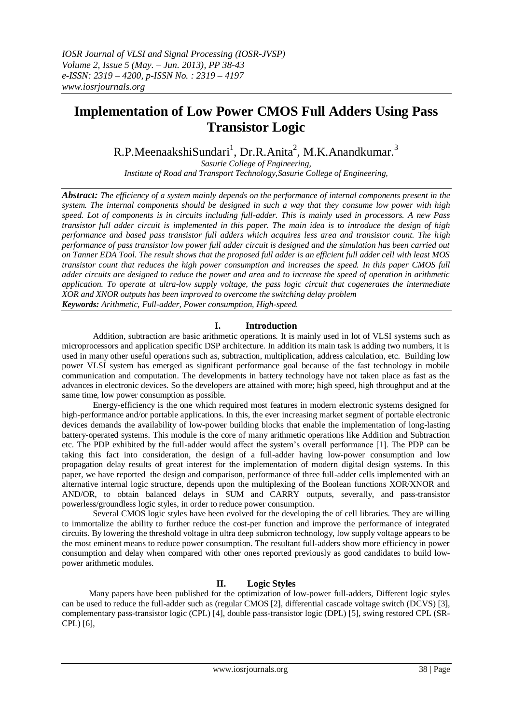# **Implementation of Low Power CMOS Full Adders Using Pass Transistor Logic**

 $R.P.MeenaakshiSundari<sup>1</sup>, Dr.R.Anita<sup>2</sup>, M.K.Anandkumar.<sup>3</sup>$ 

*Sasurie College of Engineering, Institute of Road and Transport Technology,Sasurie College of Engineering,*

*Abstract: The efficiency of a system mainly depends on the performance of internal components present in the system. The internal components should be designed in such a way that they consume low power with high speed. Lot of components is in circuits including full-adder. This is mainly used in processors. A new Pass transistor full adder circuit is implemented in this paper. The main idea is to introduce the design of high performance and based pass transistor full adders which acquires less area and transistor count. The high performance of pass transistor low power full adder circuit is designed and the simulation has been carried out on Tanner EDA Tool. The result shows that the proposed full adder is an efficient full adder cell with least MOS transistor count that reduces the high power consumption and increases the speed. In this paper CMOS full adder circuits are designed to reduce the power and area and to increase the speed of operation in arithmetic application. To operate at ultra-low supply voltage, the pass logic circuit that cogenerates the intermediate XOR and XNOR outputs has been improved to overcome the switching delay problem Keywords: Arithmetic, Full-adder, Power consumption, High-speed.*

# **I. Introduction**

Addition, subtraction are basic arithmetic operations. It is mainly used in lot of VLSI systems such as microprocessors and application specific DSP architecture. In addition its main task is adding two numbers, it is used in many other useful operations such as, subtraction, multiplication, address calculation, etc. Building low power VLSI system has emerged as significant performance goal because of the fast technology in mobile communication and computation. The developments in battery technology have not taken place as fast as the advances in electronic devices. So the developers are attained with more; high speed, high throughput and at the same time, low power consumption as possible.

Energy-efficiency is the one which required most features in modern electronic systems designed for high-performance and/or portable applications. In this, the ever increasing market segment of portable electronic devices demands the availability of low-power building blocks that enable the implementation of long-lasting battery-operated systems. This module is the core of many arithmetic operations like Addition and Subtraction etc. The PDP exhibited by the full-adder would affect the system's overall performance [1]. The PDP can be taking this fact into consideration, the design of a full-adder having low-power consumption and low propagation delay results of great interest for the implementation of modern digital design systems. In this paper, we have reported the design and comparison, performance of three full-adder cells implemented with an alternative internal logic structure, depends upon the multiplexing of the Boolean functions XOR/XNOR and AND/OR, to obtain balanced delays in SUM and CARRY outputs, severally, and pass-transistor powerless/groundless logic styles, in order to reduce power consumption.

Several CMOS logic styles have been evolved for the developing the of cell libraries. They are willing to immortalize the ability to further reduce the cost-per function and improve the performance of integrated circuits. By lowering the threshold voltage in ultra deep submicron technology, low supply voltage appears to be the most eminent means to reduce power consumption. The resultant full-adders show more efficiency in power consumption and delay when compared with other ones reported previously as good candidates to build lowpower arithmetic modules.

#### **II. Logic Styles**

Many papers have been published for the optimization of low-power full-adders, Different logic styles can be used to reduce the full-adder such as (regular CMOS [2], differential cascade voltage switch (DCVS) [3], complementary pass-transistor logic (CPL) [4], double pass-transistor logic (DPL) [5], swing restored CPL (SR-CPL) [6],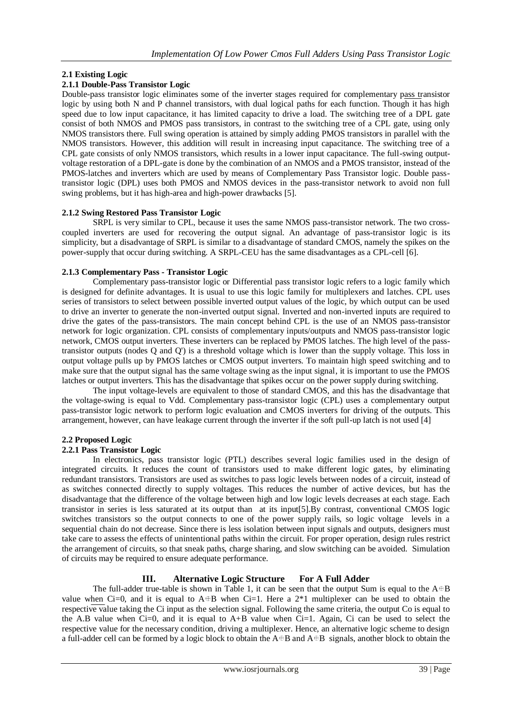# **2.1 Existing Logic**

## **2.1.1 Double-Pass Transistor Logic**

Double-pass transistor logic eliminates some of the inverter stages required for complementary pass transistor logic by using both N and P channel transistors, with dual logical paths for each function. Though it has high speed due to low input capacitance, it has limited capacity to drive a load. The switching tree of a DPL gate consist of both NMOS and PMOS pass transistors, in contrast to the switching tree of a CPL gate, using only NMOS transistors there. Full swing operation is attained by simply adding PMOS transistors in parallel with the NMOS transistors. However, this addition will result in increasing input capacitance. The switching tree of a CPL gate consists of only NMOS transistors, which results in a lower input capacitance. The full-swing outputvoltage restoration of a DPL-gate is done by the combination of an NMOS and a PMOS transistor, instead of the PMOS-latches and inverters which are used by means of Complementary Pass Transistor logic. Double passtransistor logic (DPL) uses both PMOS and NMOS devices in the pass-transistor network to avoid non full swing problems, but it has high-area and high-power drawbacks [5].

#### **2.1.2 Swing Restored Pass Transistor Logic**

SRPL is very similar to CPL, because it uses the same NMOS pass-transistor network. The two crosscoupled inverters are used for recovering the output signal. An advantage of pass-transistor logic is its simplicity, but a disadvantage of SRPL is similar to a disadvantage of standard CMOS, namely the spikes on the power-supply that occur during switching. A SRPL-CEU has the same disadvantages as a CPL-cell [6].

#### **2.1.3 Complementary Pass - Transistor Logic**

Complementary pass-transistor logic or Differential pass transistor logic refers to a logic family which is designed for definite advantages. It is usual to use this logic family for multiplexers and latches. CPL uses series of transistors to select between possible inverted output values of the logic, by which output can be used to drive an inverter to generate the non-inverted output signal. Inverted and non-inverted inputs are required to drive the gates of the pass-transistors. The main concept behind CPL is the use of an NMOS pass-transistor network for logic organization. CPL consists of complementary inputs/outputs and NMOS pass-transistor logic network, CMOS output inverters. These inverters can be replaced by PMOS latches. The high level of the passtransistor outputs (nodes Q and Q') is a threshold voltage which is lower than the supply voltage. This loss in output voltage pulls up by PMOS latches or CMOS output inverters. To maintain high speed switching and to make sure that the output signal has the same voltage swing as the input signal, it is important to use the PMOS latches or output inverters. This has the disadvantage that spikes occur on the power supply during switching.

The input voltage-levels are equivalent to those of standard CMOS, and this has the disadvantage that the voltage-swing is equal to Vdd. Complementary pass-transistor logic (CPL) uses a complementary output pass-transistor logic network to perform logic evaluation and CMOS inverters for driving of the outputs. This arrangement, however, can have leakage current through the inverter if the soft pull-up latch is not used [4]

#### **2.2 Proposed Logic**

#### **2.2.1 Pass Transistor Logic**

In electronics, pass transistor logic (PTL) describes several logic families used in the design of integrated circuits. It reduces the count of transistors used to make different logic gates, by eliminating redundant transistors. Transistors are used as switches to pass logic levels between nodes of a circuit, instead of as switches connected directly to supply voltages. This reduces the number of active devices, but has the disadvantage that the difference of the voltage between high and low logic levels decreases at each stage. Each transistor in series is less saturated at its output than at its input[5].By contrast, conventional CMOS logic switches transistors so the output connects to one of the power supply rails, so logic voltage levels in a sequential chain do not decrease. Since there is less isolation between input signals and outputs, designers must take care to assess the effects of unintentional paths within the circuit. For proper operation, design rules restrict the arrangement of circuits, so that sneak paths, charge sharing, and slow switching can be avoided. Simulation of circuits may be required to ensure adequate performance.

## **III. Alternative Logic Structure For A Full Adder**

The full-adder true-table is shown in Table 1, it can be seen that the output Sum is equal to the  $A^{\oplus}B$ value when Ci=0, and it is equal to  $A \oplus B$  when Ci=1. Here a  $2*1$  multiplexer can be used to obtain the respective value taking the Ci input as the selection signal. Following the same criteria, the output Co is equal to the A.B value when  $Ci=0$ , and it is equal to  $A+B$  value when  $Ci=1$ . Again, Ci can be used to select the respective value for the necessary condition, driving a multiplexer. Hence, an alternative logic scheme to design a full-adder cell can be formed by a logic block to obtain the  $A + B$  and  $A + B$  signals, another block to obtain the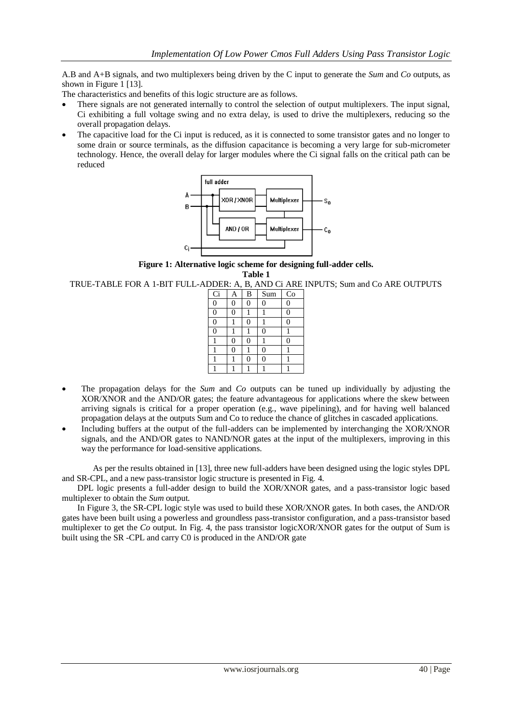A.B and A+B signals, and two multiplexers being driven by the C input to generate the *Sum* and *Co* outputs, as shown in Figure 1 [13].

The characteristics and benefits of this logic structure are as follows.

- There signals are not generated internally to control the selection of output multiplexers. The input signal, Ci exhibiting a full voltage swing and no extra delay, is used to drive the multiplexers, reducing so the overall propagation delays.
- The capacitive load for the Ci input is reduced, as it is connected to some transistor gates and no longer to some drain or source terminals, as the diffusion capacitance is becoming a very large for sub-micrometer technology. Hence, the overall delay for larger modules where the Ci signal falls on the critical path can be reduced



**Figure 1: Alternative logic scheme for designing full-adder cells.**

**Table 1**

TRUE-TABLE FOR A 1-BIT FULL-ADDER: A, B, AND Ci ARE INPUTS; Sum and Co ARE OUTPUTS

| Ci               | A | B  | Sum      | $\rm{Co}$ |
|------------------|---|----|----------|-----------|
| $\boldsymbol{0}$ | 0 | Ω  | $\Omega$ | $\Omega$  |
| $\overline{0}$   | 0 |    |          | 0         |
| $\overline{0}$   |   | ſ  |          | 0         |
| $\overline{0}$   |   |    | $\Omega$ |           |
|                  | 0 | ς, |          | 0         |
|                  | 0 |    | 0        |           |
|                  |   | Λ  | 0        |           |
|                  |   |    |          |           |
|                  |   |    |          |           |

- The propagation delays for the *Sum* and *Co* outputs can be tuned up individually by adjusting the XOR/XNOR and the AND/OR gates; the feature advantageous for applications where the skew between arriving signals is critical for a proper operation (e.g., wave pipelining), and for having well balanced propagation delays at the outputs Sum and Co to reduce the chance of glitches in cascaded applications.
- Including buffers at the output of the full-adders can be implemented by interchanging the XOR/XNOR signals, and the AND/OR gates to NAND/NOR gates at the input of the multiplexers, improving in this way the performance for load-sensitive applications.

As per the results obtained in [13], three new full-adders have been designed using the logic styles DPL and SR-CPL, and a new pass-transistor logic structure is presented in Fig. 4.

DPL logic presents a full-adder design to build the XOR/XNOR gates, and a pass-transistor logic based multiplexer to obtain the *Sum* output.

In Figure 3, the SR-CPL logic style was used to build these XOR/XNOR gates. In both cases, the AND/OR gates have been built using a powerless and groundless pass-transistor configuration, and a pass-transistor based multiplexer to get the *Co* output. In Fig. 4, the pass transistor logicXOR/XNOR gates for the output of Sum is built using the SR -CPL and carry C0 is produced in the AND/OR gate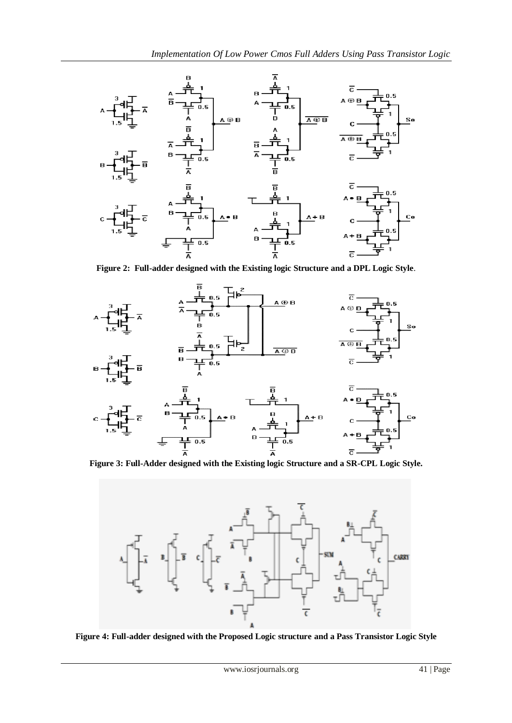

**Figure 2: Full-adder designed with the Existing logic Structure and a DPL Logic Style**.





**Figure 4: Full-adder designed with the Proposed Logic structure and a Pass Transistor Logic Style**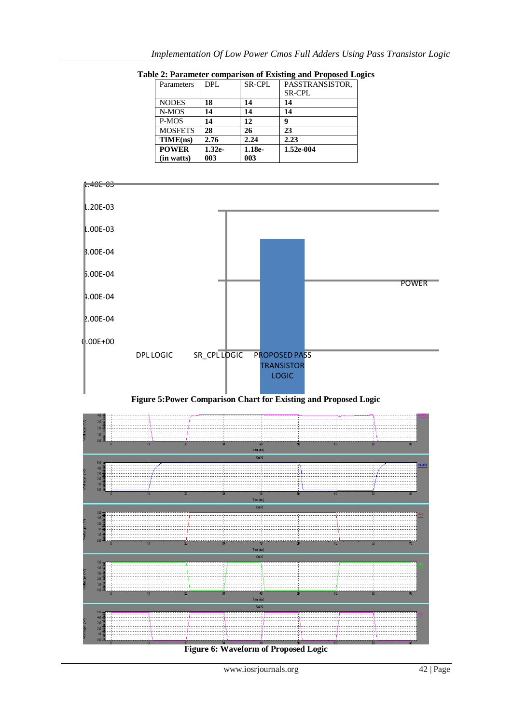| Parameters     | DPL      | <b>SR-CPL</b> | PASSTRANSISTOR, |
|----------------|----------|---------------|-----------------|
|                |          |               | <b>SR-CPL</b>   |
| <b>NODES</b>   | 18       | 14            | 14              |
| N-MOS          | 14       | 14            | 14              |
| P-MOS          | 14       | 12            | q               |
| <b>MOSFETS</b> | 28       | 26            | 23              |
| TIME(ns)       | 2.76     | 2.24          | 2.23            |
| <b>POWER</b>   | $1.32e-$ | $1.18e-$      | 1.52e-004       |
| (in watts)     | 003      | 003           |                 |



**Table 2: Parameter comparison of Existing and Proposed Logics**





**Figure 6: Waveform of Proposed Logic**